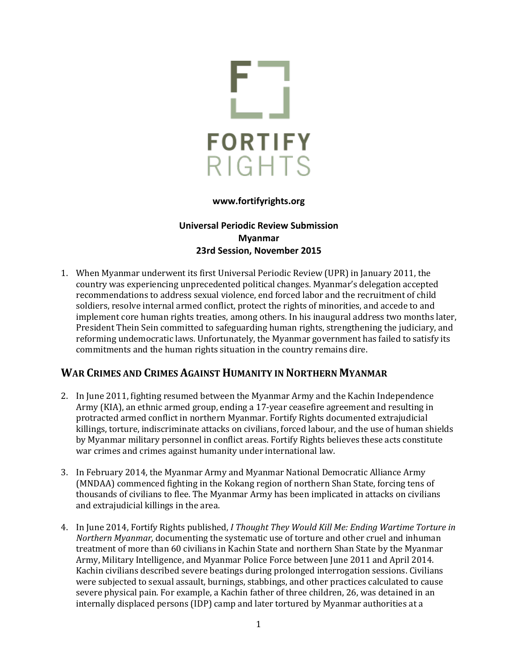

#### **www.fortifyrights.org**

### **Universal Periodic Review Submission Myanmar 23rd Session, November 2015**

1. When Myanmar underwent its first Universal Periodic Review (UPR) in January 2011, the country was experiencing unprecedented political changes. Myanmar's delegation accepted recommendations to address sexual violence, end forced labor and the recruitment of child soldiers, resolve internal armed conflict, protect the rights of minorities, and accede to and implement core human rights treaties, among others. In his inaugural address two months later, President Thein Sein committed to safeguarding human rights, strengthening the judiciary, and reforming undemocratic laws. Unfortunately, the Myanmar government has failed to satisfy its commitments and the human rights situation in the country remains dire.

## **WAR CRIMES AND CRIMES AGAINST HUMANITY IN NORTHERN MYANMAR**

- 2. In June 2011, fighting resumed between the Myanmar Army and the Kachin Independence Army (KIA), an ethnic armed group, ending a 17-year ceasefire agreement and resulting in protracted armed conflict in northern Myanmar. Fortify Rights documented extrajudicial killings, torture, indiscriminate attacks on civilians, forced labour, and the use of human shields by Myanmar military personnel in conflict areas. Fortify Rights believes these acts constitute war crimes and crimes against humanity under international law.
- 3. In February 2014, the Myanmar Army and Myanmar National Democratic Alliance Army (MNDAA) commenced fighting in the Kokang region of northern Shan State, forcing tens of thousands of civilians to flee. The Myanmar Army has been implicated in attacks on civilians and extrajudicial killings in the area.
- 4. In June 2014, Fortify Rights published, *I Thought They Would Kill Me: Ending Wartime Torture in Northern Myanmar,* documenting the systematic use of torture and other cruel and inhuman treatment of more than 60 civilians in Kachin State and northern Shan State by the Myanmar Army, Military Intelligence, and Myanmar Police Force between June 2011 and April 2014. Kachin civilians described severe beatings during prolonged interrogation sessions. Civilians were subjected to sexual assault, burnings, stabbings, and other practices calculated to cause severe physical pain. For example, a Kachin father of three children, 26, was detained in an internally displaced persons (IDP) camp and later tortured by Myanmar authorities at a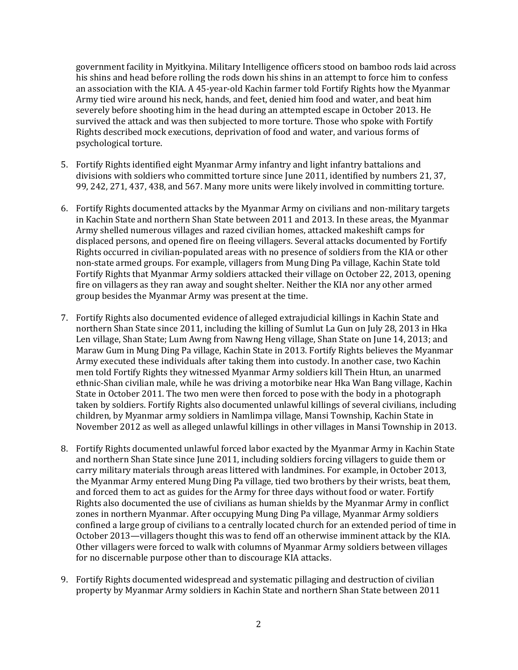government facility in Myitkyina. Military Intelligence officers stood on bamboo rods laid across his shins and head before rolling the rods down his shins in an attempt to force him to confess an association with the KIA. A 45-year-old Kachin farmer told Fortify Rights how the Myanmar Army tied wire around his neck, hands, and feet, denied him food and water, and beat him severely before shooting him in the head during an attempted escape in October 2013. He survived the attack and was then subjected to more torture. Those who spoke with Fortify Rights described mock executions, deprivation of food and water, and various forms of psychological torture.

- 5. Fortify Rights identified eight Myanmar Army infantry and light infantry battalions and divisions with soldiers who committed torture since June 2011, identified by numbers 21, 37, 99, 242, 271, 437, 438, and 567. Many more units were likely involved in committing torture.
- 6. Fortify Rights documented attacks by the Myanmar Army on civilians and non-military targets in Kachin State and northern Shan State between 2011 and 2013. In these areas, the Myanmar Army shelled numerous villages and razed civilian homes, attacked makeshift camps for displaced persons, and opened fire on fleeing villagers. Several attacks documented by Fortify Rights occurred in civilian-populated areas with no presence of soldiers from the KIA or other non-state armed groups. For example, villagers from Mung Ding Pa village, Kachin State told Fortify Rights that Myanmar Army soldiers attacked their village on October 22, 2013, opening fire on villagers as they ran away and sought shelter. Neither the KIA nor any other armed group besides the Myanmar Army was present at the time.
- 7. Fortify Rights also documented evidence of alleged extrajudicial killings in Kachin State and northern Shan State since 2011, including the killing of Sumlut La Gun on July 28, 2013 in Hka Len village, Shan State; Lum Awng from Nawng Heng village, Shan State on June 14, 2013; and Maraw Gum in Mung Ding Pa village, Kachin State in 2013. Fortify Rights believes the Myanmar Army executed these individuals after taking them into custody. In another case, two Kachin men told Fortify Rights they witnessed Myanmar Army soldiers kill Thein Htun, an unarmed ethnic-Shan civilian male, while he was driving a motorbike near Hka Wan Bang village, Kachin State in October 2011. The two men were then forced to pose with the body in a photograph taken by soldiers. Fortify Rights also documented unlawful killings of several civilians, including children, by Myanmar army soldiers in Namlimpa village, Mansi Township, Kachin State in November 2012 as well as alleged unlawful killings in other villages in Mansi Township in 2013.
- 8. Fortify Rights documented unlawful forced labor exacted by the Myanmar Army in Kachin State and northern Shan State since June 2011, including soldiers forcing villagers to guide them or carry military materials through areas littered with landmines. For example, in October 2013, the Myanmar Army entered Mung Ding Pa village, tied two brothers by their wrists, beat them, and forced them to act as guides for the Army for three days without food or water. Fortify Rights also documented the use of civilians as human shields by the Myanmar Army in conflict zones in northern Myanmar. After occupying Mung Ding Pa village, Myanmar Army soldiers confined a large group of civilians to a centrally located church for an extended period of time in October 2013—villagers thought this was to fend off an otherwise imminent attack by the KIA. Other villagers were forced to walk with columns of Myanmar Army soldiers between villages for no discernable purpose other than to discourage KIA attacks.
- 9. Fortify Rights documented widespread and systematic pillaging and destruction of civilian property by Myanmar Army soldiers in Kachin State and northern Shan State between 2011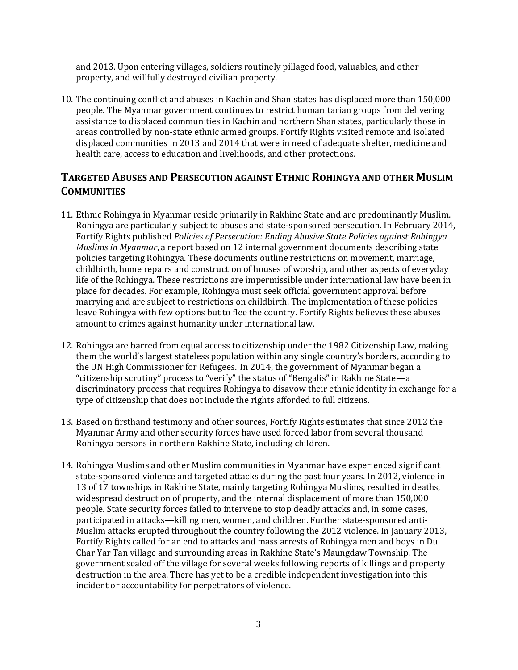and 2013. Upon entering villages, soldiers routinely pillaged food, valuables, and other property, and willfully destroyed civilian property.

10. The continuing conflict and abuses in Kachin and Shan states has displaced more than 150,000 people. The Myanmar government continues to restrict humanitarian groups from delivering assistance to displaced communities in Kachin and northern Shan states, particularly those in areas controlled by non-state ethnic armed groups. Fortify Rights visited remote and isolated displaced communities in 2013 and 2014 that were in need of adequate shelter, medicine and health care, access to education and livelihoods, and other protections.

# **TARGETED ABUSES AND PERSECUTION AGAINST ETHNIC ROHINGYA AND OTHER MUSLIM COMMUNITIES**

- 11. Ethnic Rohingya in Myanmar reside primarily in Rakhine State and are predominantly Muslim. Rohingya are particularly subject to abuses and state-sponsored persecution. In February 2014, Fortify Rights published *Policies of Persecution: Ending Abusive State Policies against Rohingya Muslims in Myanmar*, a report based on 12 internal government documents describing state policies targeting Rohingya. These documents outline restrictions on movement, marriage, childbirth, home repairs and construction of houses of worship, and other aspects of everyday life of the Rohingya. These restrictions are impermissible under international law have been in place for decades. For example, Rohingya must seek official government approval before marrying and are subject to restrictions on childbirth. The implementation of these policies leave Rohingya with few options but to flee the country. Fortify Rights believes these abuses amount to crimes against humanity under international law.
- 12. Rohingya are barred from equal access to citizenship under the 1982 Citizenship Law, making them the world's largest stateless population within any single country's borders, according to the UN High Commissioner for Refugees. In 2014, the government of Myanmar began a "citizenship scrutiny" process to "verify" the status of "Bengalis" in Rakhine State—a discriminatory process that requires Rohingya to disavow their ethnic identity in exchange for a type of citizenship that does not include the rights afforded to full citizens.
- 13. Based on firsthand testimony and other sources, Fortify Rights estimates that since 2012 the Myanmar Army and other security forces have used forced labor from several thousand Rohingya persons in northern Rakhine State, including children.
- 14. Rohingya Muslims and other Muslim communities in Myanmar have experienced significant state-sponsored violence and targeted attacks during the past four years. In 2012, violence in 13 of 17 townships in Rakhine State, mainly targeting Rohingya Muslims, resulted in deaths, widespread destruction of property, and the internal displacement of more than 150,000 people. State security forces failed to intervene to stop deadly attacks and, in some cases, participated in attacks—killing men, women, and children. Further state-sponsored anti-Muslim attacks erupted throughout the country following the 2012 violence. In January 2013, Fortify Rights called for an end to attacks and mass arrests of Rohingya men and boys in Du Char Yar Tan village and surrounding areas in Rakhine State's Maungdaw Township. The government sealed off the village for several weeks following reports of killings and property destruction in the area. There has yet to be a credible independent investigation into this incident or accountability for perpetrators of violence.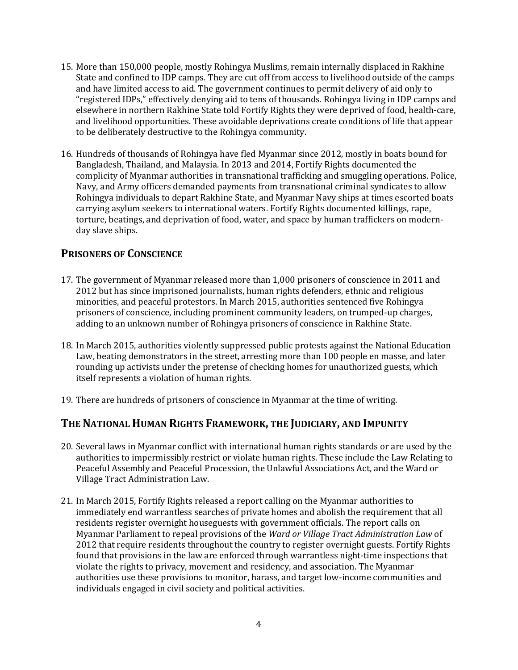- 15. More than 150,000 people, mostly Rohingya Muslims, remain internally displaced in Rakhine State and confined to IDP camps. They are cut off from access to livelihood outside of the camps and have limited access to aid. The government continues to permit delivery of aid only to "registered IDPs," effectively denying aid to tens of thousands. Rohingya living in IDP camps and elsewhere in northern Rakhine State told Fortify Rights they were deprived of food, health-care, and livelihood opportunities. These avoidable deprivations create conditions of life that appear to be deliberately destructive to the Rohingya community.
- 16. Hundreds of thousands of Rohingya have fled Myanmar since 2012, mostly in boats bound for Bangladesh, Thailand, and Malaysia. In 2013 and 2014, Fortify Rights documented the complicity of Myanmar authorities in transnational trafficking and smuggling operations. Police, Navy, and Army officers demanded payments from transnational criminal syndicates to allow Rohingya individuals to depart Rakhine State, and Myanmar Navy ships at times escorted boats carrying asylum seekers to international waters. Fortify Rights documented killings, rape, torture, beatings, and deprivation of food, water, and space by human traffickers on modernday slave ships.

### **PRISONERS OF CONSCIENCE**

- 17. The government of Myanmar released more than 1,000 prisoners of conscience in 2011 and 2012 but has since imprisoned journalists, human rights defenders, ethnic and religious minorities, and peaceful protestors. In March 2015, authorities sentenced five Rohingya prisoners of conscience, including prominent community leaders, on trumped-up charges, adding to an unknown number of Rohingya prisoners of conscience in Rakhine State.
- 18. In March 2015, authorities violently suppressed public protests against the National Education Law, beating demonstrators in the street, arresting more than 100 people en masse, and later rounding up activists under the pretense of checking homes for unauthorized guests, which itself represents a violation of human rights.
- 19. There are hundreds of prisoners of conscience in Myanmar at the time of writing.

## **THE NATIONAL HUMAN RIGHTS FRAMEWORK, THE JUDICIARY, AND IMPUNITY**

- 20. Several laws in Myanmar conflict with international human rights standards or are used by the authorities to impermissibly restrict or violate human rights. These include the Law Relating to Peaceful Assembly and Peaceful Procession, the Unlawful Associations Act, and the Ward or Village Tract Administration Law.
- 21. In March 2015, Fortify Rights released a report calling on the Myanmar authorities to immediately end warrantless searches of private homes and abolish the requirement that all residents register overnight houseguests with government officials. The report calls on Myanmar Parliament to repeal provisions of the *Ward or Village Tract Administration Law* of 2012 that require residents throughout the country to register overnight guests. Fortify Rights found that provisions in the law are enforced through warrantless night-time inspections that violate the rights to privacy, movement and residency, and association. The Myanmar authorities use these provisions to monitor, harass, and target low-income communities and individuals engaged in civil society and political activities.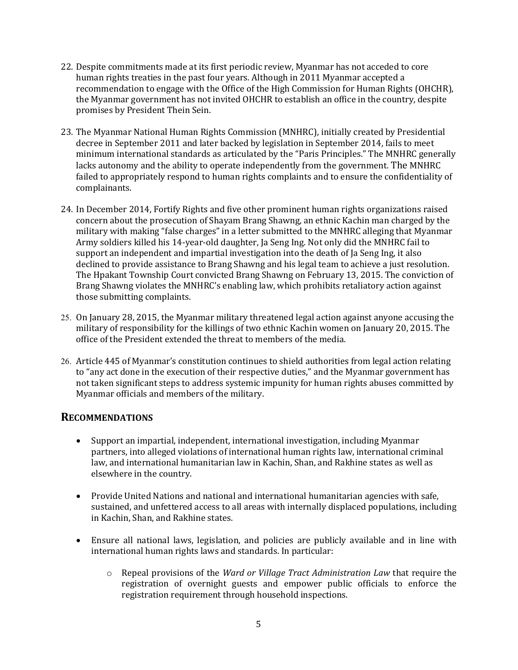- 22. Despite commitments made at its first periodic review, Myanmar has not acceded to core human rights treaties in the past four years. Although in 2011 Myanmar accepted a recommendation to engage with the Office of the High Commission for Human Rights (OHCHR), the Myanmar government has not invited OHCHR to establish an office in the country, despite promises by President Thein Sein.
- 23. The Myanmar National Human Rights Commission (MNHRC), initially created by Presidential decree in September 2011 and later backed by legislation in September 2014, fails to meet minimum international standards as articulated by the "Paris Principles." The MNHRC generally lacks autonomy and the ability to operate independently from the government. The MNHRC failed to appropriately respond to human rights complaints and to ensure the confidentiality of complainants.
- 24. In December 2014, Fortify Rights and five other prominent human rights organizations raised concern about the prosecution of Shayam Brang Shawng, an ethnic Kachin man charged by the military with making "false charges" in a letter submitted to the MNHRC alleging that Myanmar Army soldiers killed his 14-year-old daughter, Ja Seng Ing. Not only did the MNHRC fail to support an independent and impartial investigation into the death of Ja Seng Ing, it also declined to provide assistance to Brang Shawng and his legal team to achieve a just resolution. The Hpakant Township Court convicted Brang Shawng on February 13, 2015. The conviction of Brang Shawng violates the MNHRC's enabling law, which prohibits retaliatory action against those submitting complaints.
- 25. On January 28, 2015, the Myanmar military threatened legal action against anyone accusing the military of responsibility for the killings of two ethnic Kachin women on January 20, 2015. The office of the President extended the threat to members of the media.
- 26. Article 445 of Myanmar's constitution continues to shield authorities from legal action relating to "any act done in the execution of their respective duties," and the Myanmar government has not taken significant steps to address systemic impunity for human rights abuses committed by Myanmar officials and members of the military.

#### **RECOMMENDATIONS**

- Support an impartial, independent, international investigation, including Myanmar partners, into alleged violations of international human rights law, international criminal law, and international humanitarian law in Kachin, Shan, and Rakhine states as well as elsewhere in the country.
- Provide United Nations and national and international humanitarian agencies with safe, sustained, and unfettered access to all areas with internally displaced populations, including in Kachin, Shan, and Rakhine states.
- Ensure all national laws, legislation, and policies are publicly available and in line with international human rights laws and standards. In particular:
	- o Repeal provisions of the *Ward or Village Tract Administration Law* that require the registration of overnight guests and empower public officials to enforce the registration requirement through household inspections.